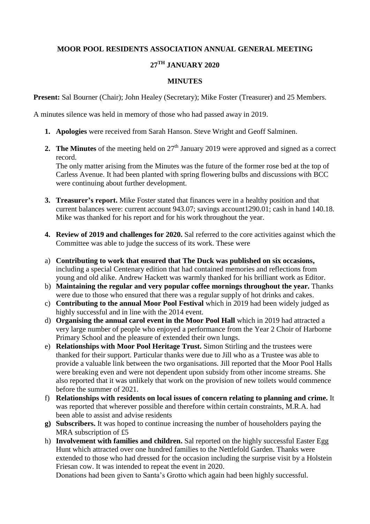## **MOOR POOL RESIDENTS ASSOCIATION ANNUAL GENERAL MEETING**

## **27TH JANUARY 2020**

## **MINUTES**

**Present:** Sal Bourner (Chair); John Healey (Secretary); Mike Foster (Treasurer) and 25 Members.

A minutes silence was held in memory of those who had passed away in 2019.

- **1. Apologies** were received from Sarah Hanson. Steve Wright and Geoff Salminen.
- **2. The Minutes** of the meeting held on  $27<sup>th</sup>$  January 2019 were approved and signed as a correct record.

The only matter arising from the Minutes was the future of the former rose bed at the top of Carless Avenue. It had been planted with spring flowering bulbs and discussions with BCC were continuing about further development.

- **3. Treasurer's report.** Mike Foster stated that finances were in a healthy position and that current balances were: current account 943.07; savings account1290.01; cash in hand 140.18. Mike was thanked for his report and for his work throughout the year.
- **4. Review of 2019 and challenges for 2020.** Sal referred to the core activities against which the Committee was able to judge the success of its work. These were
- a) **Contributing to work that ensured that The Duck was published on six occasions,** including a special Centenary edition that had contained memories and reflections from young and old alike. Andrew Hackett was warmly thanked for his brilliant work as Editor.
- b) **Maintaining the regular and very popular coffee mornings throughout the year.** Thanks were due to those who ensured that there was a regular supply of hot drinks and cakes.
- c) **Contributing to the annual Moor Pool Festival** which in 2019 had been widely judged as highly successful and in line with the 2014 event.
- d) **Organising the annual carol event in the Moor Pool Hall** which in 2019 had attracted a very large number of people who enjoyed a performance from the Year 2 Choir of Harborne Primary School and the pleasure of extended their own lungs.
- e) **Relationships with Moor Pool Heritage Trust.** Simon Stirling and the trustees were thanked for their support. Particular thanks were due to Jill who as a Trustee was able to provide a valuable link between the two organisations. Jill reported that the Moor Pool Halls were breaking even and were not dependent upon subsidy from other income streams. She also reported that it was unlikely that work on the provision of new toilets would commence before the summer of 2021.
- f) **Relationships with residents on local issues of concern relating to planning and crime.** It was reported that wherever possible and therefore within certain constraints, M.R.A. had been able to assist and advise residents
- **g) Subscribers.** It was hoped to continue increasing the number of householders paying the MRA subscription of £5
- h) **Involvement with families and children.** Sal reported on the highly successful Easter Egg Hunt which attracted over one hundred families to the Nettlefold Garden. Thanks were extended to those who had dressed for the occasion including the surprise visit by a Holstein Friesan cow. It was intended to repeat the event in 2020.

Donations had been given to Santa's Grotto which again had been highly successful.